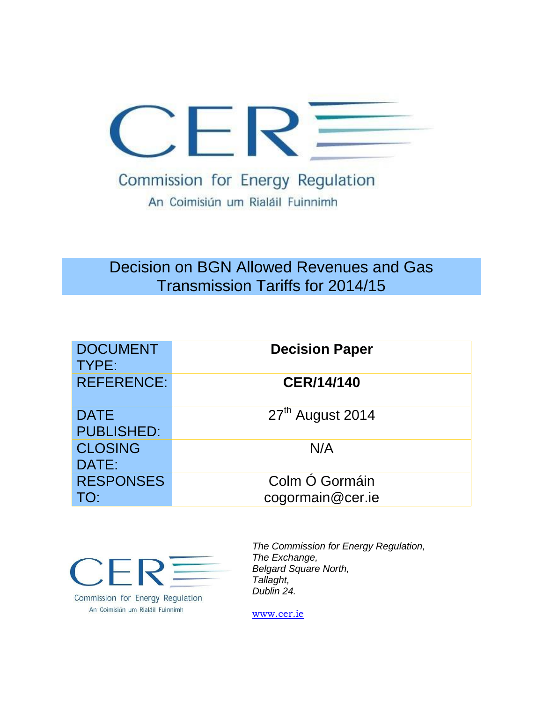

# Decision on BGN Allowed Revenues and Gas Transmission Tariffs for 2014/15

| <b>DOCUMENT</b><br>TYPE:         | <b>Decision Paper</b>              |
|----------------------------------|------------------------------------|
| <b>REFERENCE:</b>                | <b>CER/14/140</b>                  |
| <b>DATE</b><br><b>PUBLISHED:</b> | 27 <sup>th</sup> August 2014       |
| <b>CLOSING</b><br>DATE:          | N/A                                |
| <b>RESPONSES</b><br>TO:          | Colm Ó Gormáin<br>cogormain@cer.ie |



Commission for Energy Regulation An Coimisiún um Rialáil Fuinnimh

*The Commission for Energy Regulation, The Exchange, Belgard Square North, Tallaght, Dublin 24.*

[www.cer.ie](http://www.cer.ie/)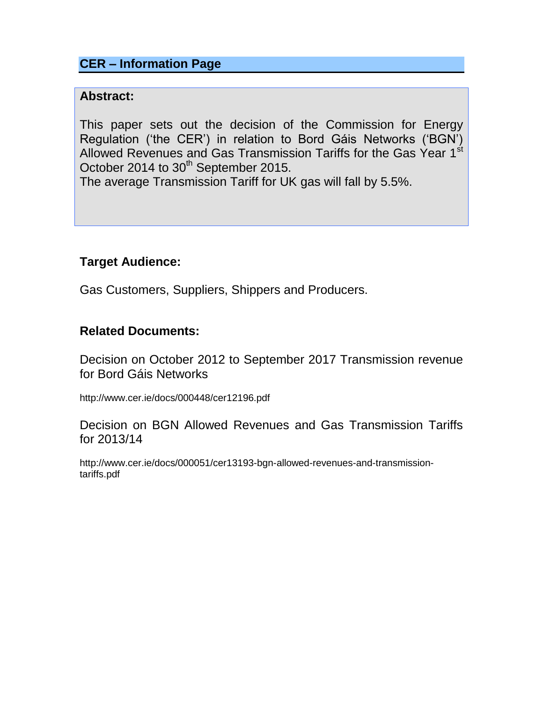## **CER – Information Page**

#### **Abstract:**

This paper sets out the decision of the Commission for Energy Regulation ('the CER') in relation to Bord Gáis Networks ('BGN') Allowed Revenues and Gas Transmission Tariffs for the Gas Year 1<sup>st</sup> October 2014 to 30<sup>th</sup> September 2015.

The average Transmission Tariff for UK gas will fall by 5.5%.

## **Target Audience:**

Gas Customers, Suppliers, Shippers and Producers.

### **Related Documents:**

Decision on October 2012 to September 2017 Transmission revenue for Bord Gáis Networks

http://www.cer.ie/docs/000448/cer12196.pd[f](file:///C:/Users/jmelvin/AppData/Local/Microsoft/Windows/Temporary%20Internet%20Files/Content.Outlook/M0CXIF68/Decision%20Paper%20on%20October%202012%20to%20September%202017%20Distribution%20Revenues%20for%20Bord%20Gáis%20Networks%20(%20CER/12/195))

Decision on BGN Allowed Revenues and Gas Transmission Tariffs for 2013/14

http://www.cer.ie/docs/000051/cer13193-bgn-allowed-revenues-and-transmissiontariffs.pdf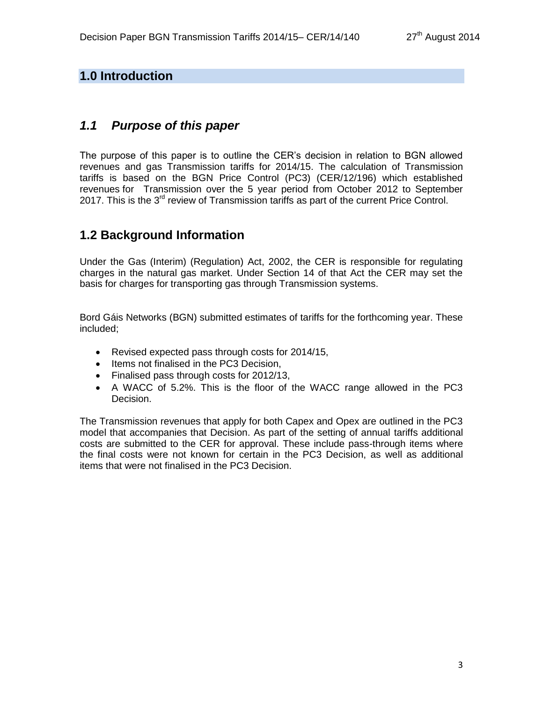#### **1.0 Introduction**

### *1.1 Purpose of this paper*

The purpose of this paper is to outline the CER's decision in relation to BGN allowed revenues and gas Transmission tariffs for 2014/15. The calculation of Transmission tariffs is based on the BGN Price Control (PC3) (CER/12/196) which established revenues for Transmission over the 5 year period from October 2012 to September 2017. This is the  $3^{rd}$  review of Transmission tariffs as part of the current Price Control.

## **1.2 Background Information**

Under the Gas (Interim) (Regulation) Act, 2002, the CER is responsible for regulating charges in the natural gas market. Under Section 14 of that Act the CER may set the basis for charges for transporting gas through Transmission systems.

Bord Gáis Networks (BGN) submitted estimates of tariffs for the forthcoming year. These included;

- Revised expected pass through costs for 2014/15,
- Items not finalised in the PC3 Decision,
- Finalised pass through costs for 2012/13,
- A WACC of 5.2%. This is the floor of the WACC range allowed in the PC3 Decision.

The Transmission revenues that apply for both Capex and Opex are outlined in the PC3 model that accompanies that Decision. As part of the setting of annual tariffs additional costs are submitted to the CER for approval. These include pass-through items where the final costs were not known for certain in the PC3 Decision, as well as additional items that were not finalised in the PC3 Decision.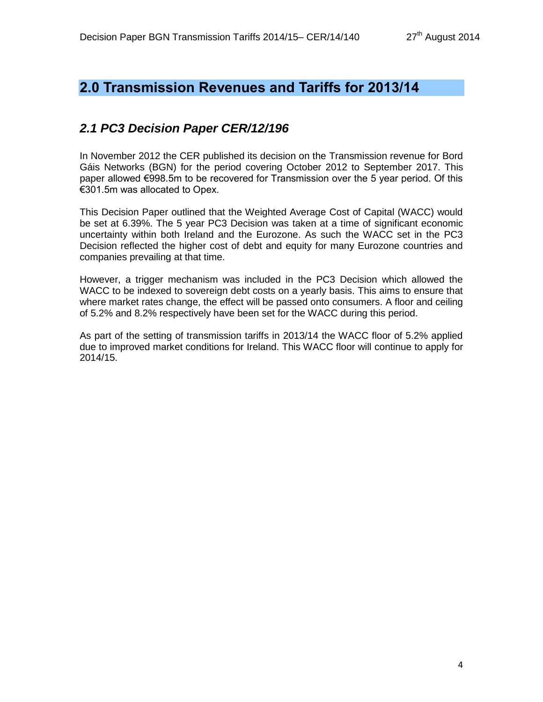## **2.0 Transmission Revenues and Tariffs for 2013/14**

## *2.1 PC3 Decision Paper CER/12/196*

In November 2012 the CER published its decision on the Transmission revenue for Bord Gáis Networks (BGN) for the period covering October 2012 to September 2017. This paper allowed €998.5m to be recovered for Transmission over the 5 year period. Of this €301.5m was allocated to Opex.

This Decision Paper outlined that the Weighted Average Cost of Capital (WACC) would be set at 6.39%. The 5 year PC3 Decision was taken at a time of significant economic uncertainty within both Ireland and the Eurozone. As such the WACC set in the PC3 Decision reflected the higher cost of debt and equity for many Eurozone countries and companies prevailing at that time.

However, a trigger mechanism was included in the PC3 Decision which allowed the WACC to be indexed to sovereign debt costs on a yearly basis. This aims to ensure that where market rates change, the effect will be passed onto consumers. A floor and ceiling of 5.2% and 8.2% respectively have been set for the WACC during this period.

As part of the setting of transmission tariffs in 2013/14 the WACC floor of 5.2% applied due to improved market conditions for Ireland. This WACC floor will continue to apply for 2014/15.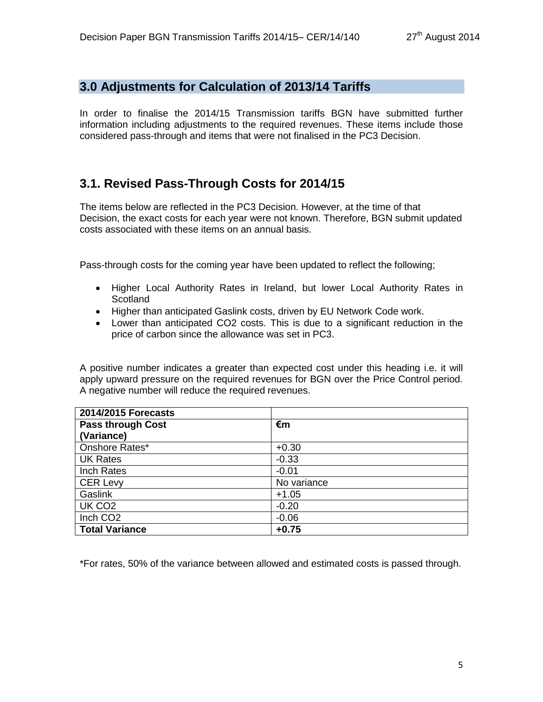#### **3.0 Adjustments for Calculation of 2013/14 Tariffs**

In order to finalise the 2014/15 Transmission tariffs BGN have submitted further information including adjustments to the required revenues. These items include those considered pass-through and items that were not finalised in the PC3 Decision.

## **3.1. Revised Pass-Through Costs for 2014/15**

The items below are reflected in the PC3 Decision. However, at the time of that Decision, the exact costs for each year were not known. Therefore, BGN submit updated costs associated with these items on an annual basis.

Pass-through costs for the coming year have been updated to reflect the following;

- Higher Local Authority Rates in Ireland, but lower Local Authority Rates in **Scotland**
- Higher than anticipated Gaslink costs, driven by EU Network Code work.
- Lower than anticipated CO2 costs. This is due to a significant reduction in the price of carbon since the allowance was set in PC3.

A positive number indicates a greater than expected cost under this heading i.e. it will apply upward pressure on the required revenues for BGN over the Price Control period. A negative number will reduce the required revenues.

| 2014/2015 Forecasts      |             |
|--------------------------|-------------|
| <b>Pass through Cost</b> | €m          |
| (Variance)               |             |
| Onshore Rates*           | $+0.30$     |
| <b>UK Rates</b>          | $-0.33$     |
| Inch Rates               | $-0.01$     |
| <b>CER Levy</b>          | No variance |
| Gaslink                  | $+1.05$     |
| UK CO <sub>2</sub>       | $-0.20$     |
| Inch CO <sub>2</sub>     | $-0.06$     |
| <b>Total Variance</b>    | $+0.75$     |

\*For rates, 50% of the variance between allowed and estimated costs is passed through.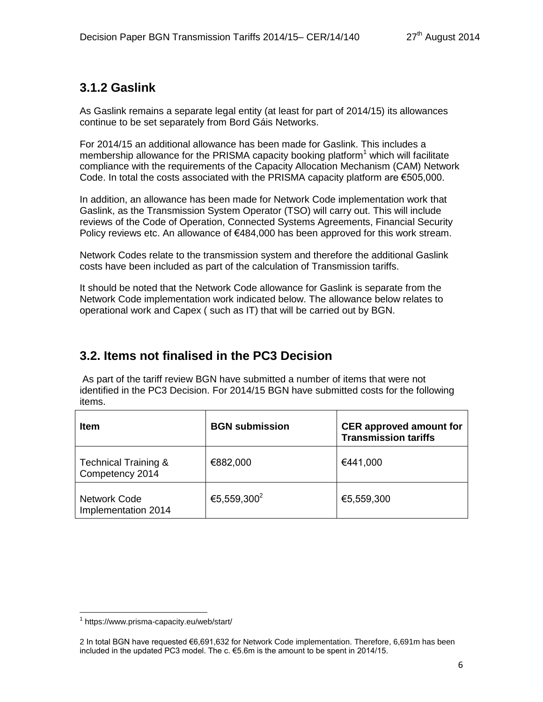## **3.1.2 Gaslink**

As Gaslink remains a separate legal entity (at least for part of 2014/15) its allowances continue to be set separately from Bord Gáis Networks.

For 2014/15 an additional allowance has been made for Gaslink. This includes a membership allowance for the PRISMA capacity booking platform<sup>1</sup> which will facilitate compliance with the requirements of the Capacity Allocation Mechanism (CAM) Network Code. In total the costs associated with the PRISMA capacity platform are €505,000.

In addition, an allowance has been made for Network Code implementation work that Gaslink, as the Transmission System Operator (TSO) will carry out. This will include reviews of the Code of Operation, Connected Systems Agreements, Financial Security Policy reviews etc. An allowance of €484,000 has been approved for this work stream.

Network Codes relate to the transmission system and therefore the additional Gaslink costs have been included as part of the calculation of Transmission tariffs.

It should be noted that the Network Code allowance for Gaslink is separate from the Network Code implementation work indicated below. The allowance below relates to operational work and Capex ( such as IT) that will be carried out by BGN.

## **3.2. Items not finalised in the PC3 Decision**

As part of the tariff review BGN have submitted a number of items that were not identified in the PC3 Decision. For 2014/15 BGN have submitted costs for the following items.

| <b>Item</b>                                        | <b>BGN</b> submission   | <b>CER</b> approved amount for<br><b>Transmission tariffs</b> |
|----------------------------------------------------|-------------------------|---------------------------------------------------------------|
| <b>Technical Training &amp;</b><br>Competency 2014 | €882,000                | €441,000                                                      |
| Network Code<br>Implementation 2014                | €5,559,300 <sup>2</sup> | €5,559,300                                                    |

 $\overline{a}$ 1 https://www.prisma-capacity.eu/web/start/

<sup>2</sup> In total BGN have requested €6,691,632 for Network Code implementation. Therefore, 6,691m has been included in the updated PC3 model. The  $c \in 5.6$ m is the amount to be spent in 2014/15.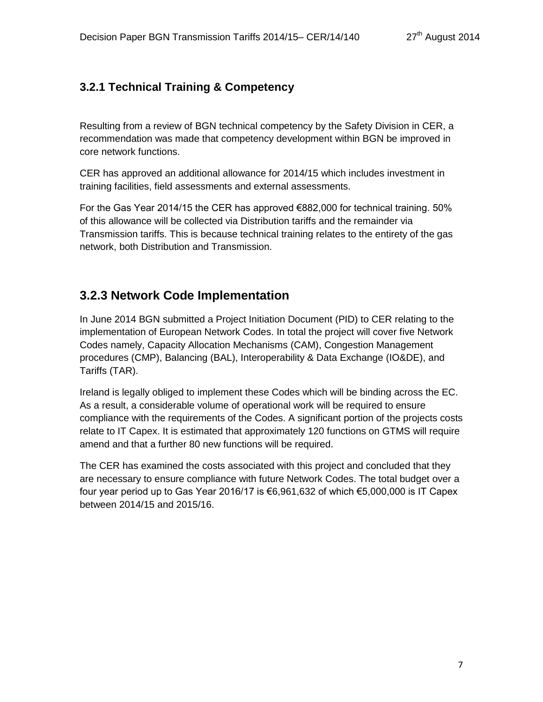### **3.2.1 Technical Training & Competency**

Resulting from a review of BGN technical competency by the Safety Division in CER, a recommendation was made that competency development within BGN be improved in core network functions.

CER has approved an additional allowance for 2014/15 which includes investment in training facilities, field assessments and external assessments.

For the Gas Year 2014/15 the CER has approved €882,000 for technical training. 50% of this allowance will be collected via Distribution tariffs and the remainder via Transmission tariffs. This is because technical training relates to the entirety of the gas network, both Distribution and Transmission.

### **3.2.3 Network Code Implementation**

In June 2014 BGN submitted a Project Initiation Document (PID) to CER relating to the implementation of European Network Codes. In total the project will cover five Network Codes namely, Capacity Allocation Mechanisms (CAM), Congestion Management procedures (CMP), Balancing (BAL), Interoperability & Data Exchange (IO&DE), and Tariffs (TAR).

Ireland is legally obliged to implement these Codes which will be binding across the EC. As a result, a considerable volume of operational work will be required to ensure compliance with the requirements of the Codes. A significant portion of the projects costs relate to IT Capex. It is estimated that approximately 120 functions on GTMS will require amend and that a further 80 new functions will be required.

The CER has examined the costs associated with this project and concluded that they are necessary to ensure compliance with future Network Codes. The total budget over a four year period up to Gas Year 2016/17 is €6,961,632 of which  $€5,000,000$  is IT Capex between 2014/15 and 2015/16.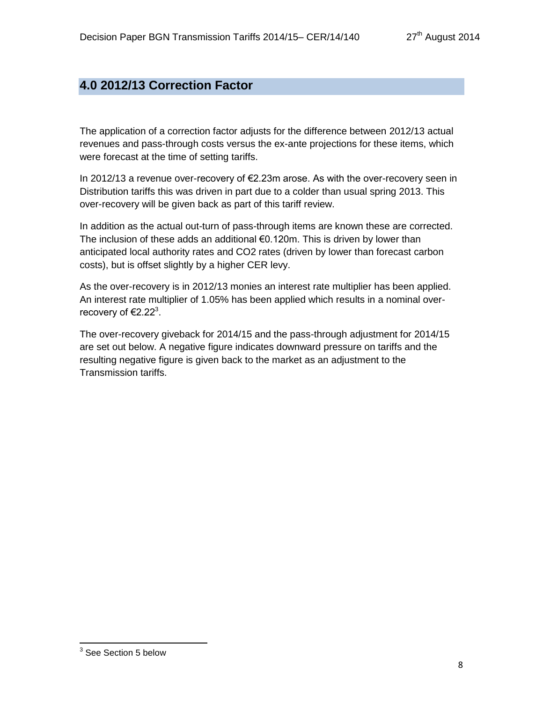## **4.0 2012/13 Correction Factor**

The application of a correction factor adjusts for the difference between 2012/13 actual revenues and pass-through costs versus the ex-ante projections for these items, which were forecast at the time of setting tariffs.

In 2012/13 a revenue over-recovery of €2.23m arose. As with the over-recovery seen in Distribution tariffs this was driven in part due to a colder than usual spring 2013. This over-recovery will be given back as part of this tariff review.

In addition as the actual out-turn of pass-through items are known these are corrected. The inclusion of these adds an additional €0.120m. This is driven by lower than anticipated local authority rates and CO2 rates (driven by lower than forecast carbon costs), but is offset slightly by a higher CER levy.

As the over-recovery is in 2012/13 monies an interest rate multiplier has been applied. An interest rate multiplier of 1.05% has been applied which results in a nominal overrecovery of  $\text{E}2.22^3$ .

The over-recovery giveback for 2014/15 and the pass-through adjustment for 2014/15 are set out below. A negative figure indicates downward pressure on tariffs and the resulting negative figure is given back to the market as an adjustment to the Transmission tariffs.

 3 See Section 5 below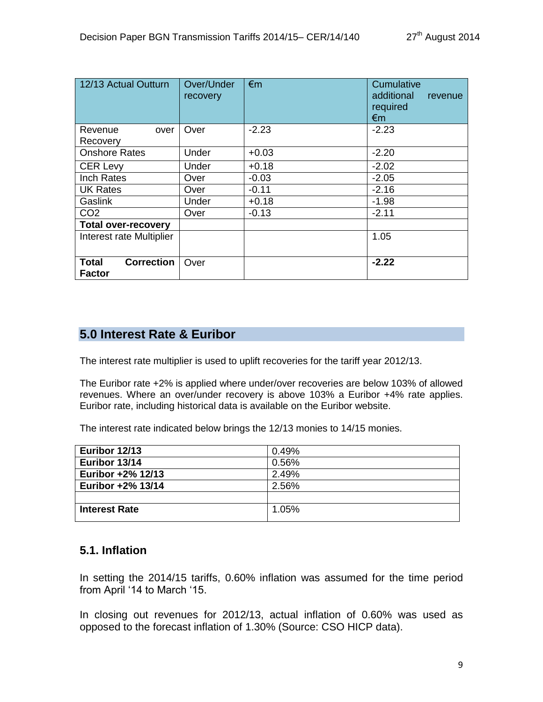| 12/13 Actual Outturn                               | Over/Under<br>recovery | $\epsilon$ m | Cumulative<br>additional<br>revenue<br>required<br>$\epsilon$ m |  |
|----------------------------------------------------|------------------------|--------------|-----------------------------------------------------------------|--|
| Revenue<br>over                                    | Over                   | $-2.23$      | $-2.23$                                                         |  |
| Recovery                                           |                        |              |                                                                 |  |
| <b>Onshore Rates</b>                               | Under                  | $+0.03$      | $-2.20$                                                         |  |
| <b>CER Levy</b>                                    | Under                  | $+0.18$      | $-2.02$                                                         |  |
| <b>Inch Rates</b>                                  | Over                   | $-0.03$      | $-2.05$                                                         |  |
| <b>UK Rates</b>                                    | Over                   | $-0.11$      | $-2.16$                                                         |  |
| Gaslink                                            | Under                  | $+0.18$      | $-1.98$                                                         |  |
| CO <sub>2</sub>                                    | Over                   | $-0.13$      | $-2.11$                                                         |  |
| <b>Total over-recovery</b>                         |                        |              |                                                                 |  |
| Interest rate Multiplier                           |                        |              | 1.05                                                            |  |
| <b>Correction</b><br><b>Total</b><br><b>Factor</b> | Over                   |              | $-2.22$                                                         |  |

### **5.0 Interest Rate & Euribor**

The interest rate multiplier is used to uplift recoveries for the tariff year 2012/13.

The Euribor rate +2% is applied where under/over recoveries are below 103% of allowed revenues. Where an over/under recovery is above 103% a Euribor +4% rate applies. Euribor rate, including historical data is available on the Euribor website.

The interest rate indicated below brings the 12/13 monies to 14/15 monies.

| Euribor 12/13        | 0.49% |
|----------------------|-------|
| Euribor 13/14        | 0.56% |
| Euribor +2% 12/13    | 2.49% |
| Euribor +2% 13/14    | 2.56% |
|                      |       |
| <b>Interest Rate</b> | 1.05% |
|                      |       |

#### **5.1. Inflation**

In setting the 2014/15 tariffs, 0.60% inflation was assumed for the time period from April '14 to March '15.

In closing out revenues for 2012/13, actual inflation of 0.60% was used as opposed to the forecast inflation of 1.30% (Source: CSO HICP data).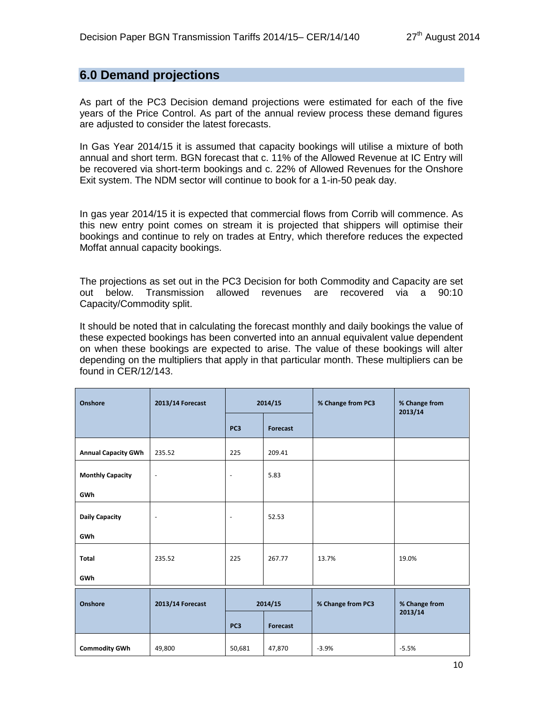#### **6.0 Demand projections**

As part of the PC3 Decision demand projections were estimated for each of the five years of the Price Control. As part of the annual review process these demand figures are adjusted to consider the latest forecasts.

In Gas Year 2014/15 it is assumed that capacity bookings will utilise a mixture of both annual and short term. BGN forecast that c. 11% of the Allowed Revenue at IC Entry will be recovered via short-term bookings and c. 22% of Allowed Revenues for the Onshore Exit system. The NDM sector will continue to book for a 1-in-50 peak day.

In gas year 2014/15 it is expected that commercial flows from Corrib will commence. As this new entry point comes on stream it is projected that shippers will optimise their bookings and continue to rely on trades at Entry, which therefore reduces the expected Moffat annual capacity bookings.

The projections as set out in the PC3 Decision for both Commodity and Capacity are set out below. Transmission allowed revenues are recovered via a 90:10 Capacity/Commodity split.

It should be noted that in calculating the forecast monthly and daily bookings the value of these expected bookings has been converted into an annual equivalent value dependent on when these bookings are expected to arise. The value of these bookings will alter depending on the multipliers that apply in that particular month. These multipliers can be found in CER/12/143.

| Onshore                    | 2013/14 Forecast         | 2014/15                  |          | % Change from PC3 | % Change from<br>2013/14 |
|----------------------------|--------------------------|--------------------------|----------|-------------------|--------------------------|
|                            |                          | PC <sub>3</sub>          | Forecast |                   |                          |
| <b>Annual Capacity GWh</b> | 235.52                   | 225                      | 209.41   |                   |                          |
| <b>Monthly Capacity</b>    | $\blacksquare$           | $\blacksquare$           | 5.83     |                   |                          |
| <b>GWh</b>                 |                          |                          |          |                   |                          |
| <b>Daily Capacity</b>      | $\overline{\phantom{a}}$ | $\overline{\phantom{a}}$ | 52.53    |                   |                          |
| GWh                        |                          |                          |          |                   |                          |
| <b>Total</b>               | 235.52                   | 225                      | 267.77   | 13.7%             | 19.0%                    |
| <b>GWh</b>                 |                          |                          |          |                   |                          |
| <b>Onshore</b>             | 2013/14 Forecast         | 2014/15                  |          | % Change from PC3 | % Change from            |
|                            |                          | PC <sub>3</sub>          | Forecast |                   | 2013/14                  |
| <b>Commodity GWh</b>       | 49,800                   | 50,681                   | 47,870   | $-3.9%$           | $-5.5%$                  |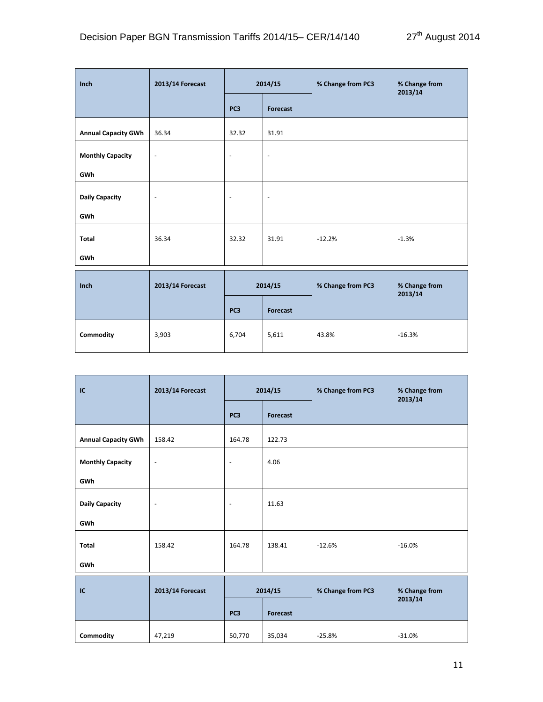| Inch                       | 2013/14 Forecast         | 2014/15                  |                          | % Change from PC3 | % Change from<br>2013/14 |
|----------------------------|--------------------------|--------------------------|--------------------------|-------------------|--------------------------|
|                            |                          | PC <sub>3</sub>          | Forecast                 |                   |                          |
| <b>Annual Capacity GWh</b> | 36.34                    | 32.32                    | 31.91                    |                   |                          |
| <b>Monthly Capacity</b>    | $\overline{\phantom{a}}$ | $\overline{\phantom{a}}$ | $\overline{\phantom{a}}$ |                   |                          |
| GWh                        |                          |                          |                          |                   |                          |
| <b>Daily Capacity</b>      | $\overline{\phantom{a}}$ | $\overline{\phantom{a}}$ | $\overline{\phantom{a}}$ |                   |                          |
| GWh                        |                          |                          |                          |                   |                          |
| Total                      | 36.34                    | 32.32                    | 31.91                    | $-12.2%$          | $-1.3%$                  |
| GWh                        |                          |                          |                          |                   |                          |
| Inch                       | 2013/14 Forecast         | 2014/15                  |                          | % Change from PC3 | % Change from<br>2013/14 |

**PC3 Forecast**

**Commodity** | 3,903 | 6,704 | 5,611 | 43.8% | -16.3%

| <b>IC</b>                  | 2013/14 Forecast         | 2014/15         |          | % Change from PC3 | % Change from<br>2013/14 |
|----------------------------|--------------------------|-----------------|----------|-------------------|--------------------------|
|                            |                          | PC <sub>3</sub> | Forecast |                   |                          |
| <b>Annual Capacity GWh</b> | 158.42                   | 164.78          | 122.73   |                   |                          |
| <b>Monthly Capacity</b>    | $\blacksquare$           | $\blacksquare$  | 4.06     |                   |                          |
| GWh                        |                          |                 |          |                   |                          |
| <b>Daily Capacity</b>      | $\overline{\phantom{a}}$ | $\sim$          | 11.63    |                   |                          |
| GWh                        |                          |                 |          |                   |                          |
| <b>Total</b>               | 158.42                   | 164.78          | 138.41   | $-12.6%$          | $-16.0%$                 |
| GWh                        |                          |                 |          |                   |                          |
| IC                         | 2013/14 Forecast         | 2014/15         |          | % Change from PC3 | % Change from<br>2013/14 |
|                            |                          | PC <sub>3</sub> | Forecast |                   |                          |

**Commodity** 47,219 50,770 35,034 -25.8% -31.0%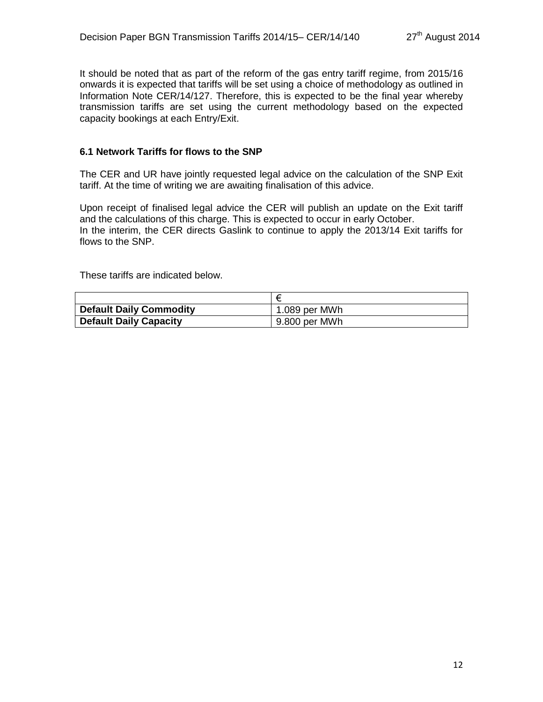It should be noted that as part of the reform of the gas entry tariff regime, from 2015/16 onwards it is expected that tariffs will be set using a choice of methodology as outlined in Information Note CER/14/127. Therefore, this is expected to be the final year whereby transmission tariffs are set using the current methodology based on the expected capacity bookings at each Entry/Exit.

#### **6.1 Network Tariffs for flows to the SNP**

The CER and UR have jointly requested legal advice on the calculation of the SNP Exit tariff. At the time of writing we are awaiting finalisation of this advice.

Upon receipt of finalised legal advice the CER will publish an update on the Exit tariff and the calculations of this charge. This is expected to occur in early October. In the interim, the CER directs Gaslink to continue to apply the 2013/14 Exit tariffs for flows to the SNP.

These tariffs are indicated below.

|                                | ₽             |
|--------------------------------|---------------|
| <b>Default Daily Commodity</b> | 1.089 per MWh |
| <b>Default Daily Capacity</b>  | 9.800 per MWh |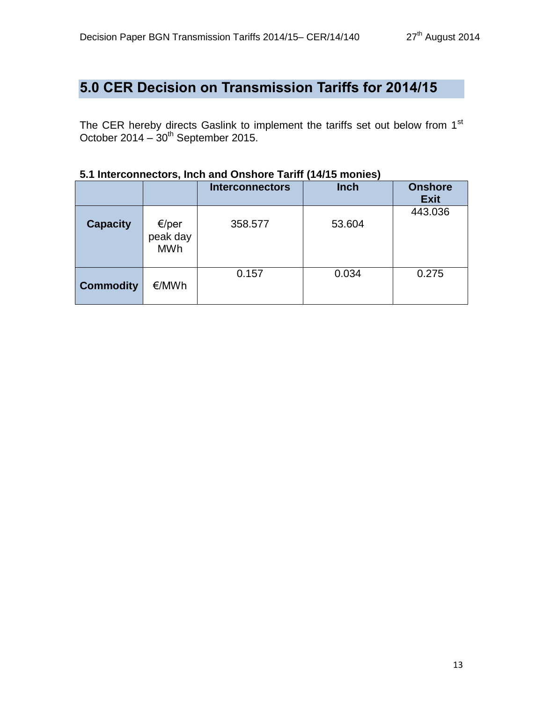# **5.0 CER Decision on Transmission Tariffs for 2014/15**

The CER hereby directs Gaslink to implement the tariffs set out below from  $1<sup>st</sup>$ October 2014 –  $30<sup>th</sup>$  September 2015.

| , . <i>.,</i> .v vvv, |                                 |                        |             |                               |  |  |
|-----------------------|---------------------------------|------------------------|-------------|-------------------------------|--|--|
|                       |                                 | <b>Interconnectors</b> | <b>Inch</b> | <b>Onshore</b><br><b>Exit</b> |  |  |
| <b>Capacity</b>       | €/per<br>peak day<br><b>MWh</b> | 358.577                | 53.604      | 443.036                       |  |  |
| <b>Commodity</b>      | €/MWh                           | 0.157                  | 0.034       | 0.275                         |  |  |

#### **5.1 Interconnectors, Inch and Onshore Tariff (14/15 monies)**